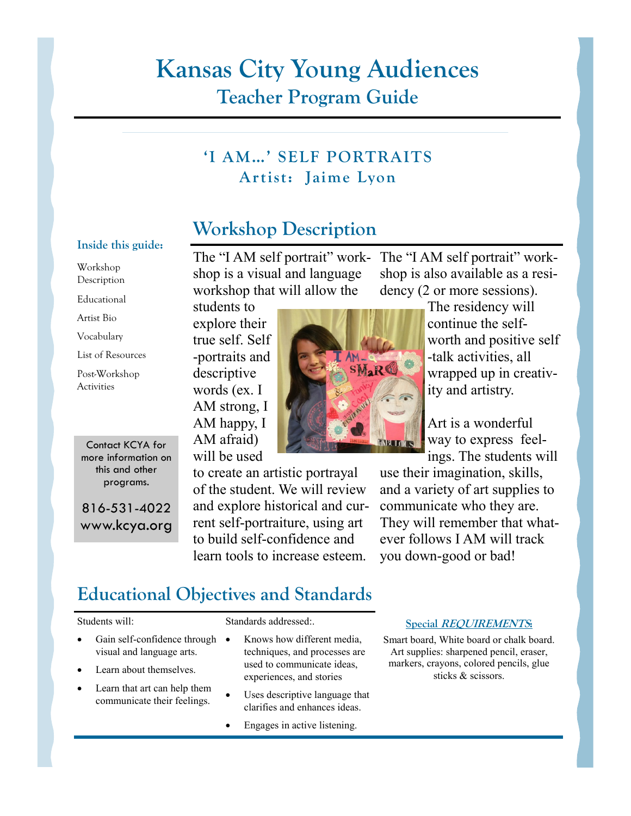# **Kansas City Young Audiences Teacher Program Guide**

### **'I AM…' SELF PORTRAITS Artist: Jaime Lyon**

### **Workshop Description**

#### **Inside this guide:**

#### Workshop Description

Educational

Artist Bio

Vocabulary

List of Resources

Post-Workshop Activities

Contact KCYA for more information on this and other programs.

816-531-4022 www.kcya.org

The "I AM self portrait" work-The "I AM self portrait" workshop is a visual and language workshop that will allow the

students to explore their true self. Self -portraits and descriptive words (ex. I AM strong, I AM happy, I AM afraid) will be used

to create an artistic portrayal of the student. We will review and explore historical and current self-portraiture, using art to build self-confidence and learn tools to increase esteem.

shop is also available as a residency (2 or more sessions).

The residency will continue the selfworth and positive self -talk activities, all wrapped up in creativity and artistry.

Art is a wonderful way to express feelings. The students will

use their imagination, skills, and a variety of art supplies to communicate who they are. They will remember that whatever follows I AM will track you down-good or bad!

### **Educational Objectives and Standards**

#### Students will:

 Gain self-confidence through visual and language arts.

- Learn about themselves.
- Learn that art can help them communicate their feelings.

Standards addressed<sup>.</sup>

- Knows how different media, techniques, and processes are used to communicate ideas, experiences, and stories
- Uses descriptive language that clarifies and enhances ideas.
- Engages in active listening.

#### **Special REQUIREMENTS:**

Smart board, White board or chalk board. Art supplies: sharpened pencil, eraser, markers, crayons, colored pencils, glue sticks & scissors.